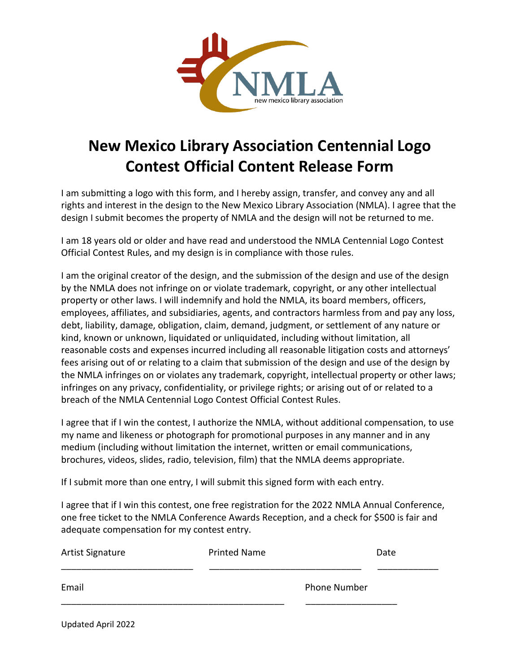

## **New Mexico Library Association Centennial Logo Contest Official Content Release Form**

I am submitting a logo with this form, and I hereby assign, transfer, and convey any and all rights and interest in the design to the New Mexico Library Association (NMLA). I agree that the design I submit becomes the property of NMLA and the design will not be returned to me.

I am 18 years old or older and have read and understood the NMLA Centennial Logo Contest Official Contest Rules, and my design is in compliance with those rules.

I am the original creator of the design, and the submission of the design and use of the design by the NMLA does not infringe on or violate trademark, copyright, or any other intellectual property or other laws. I will indemnify and hold the NMLA, its board members, officers, employees, affiliates, and subsidiaries, agents, and contractors harmless from and pay any loss, debt, liability, damage, obligation, claim, demand, judgment, or settlement of any nature or kind, known or unknown, liquidated or unliquidated, including without limitation, all reasonable costs and expenses incurred including all reasonable litigation costs and attorneys' fees arising out of or relating to a claim that submission of the design and use of the design by the NMLA infringes on or violates any trademark, copyright, intellectual property or other laws; infringes on any privacy, confidentiality, or privilege rights; or arising out of or related to a breach of the NMLA Centennial Logo Contest Official Contest Rules.

I agree that if I win the contest, I authorize the NMLA, without additional compensation, to use my name and likeness or photograph for promotional purposes in any manner and in any medium (including without limitation the internet, written or email communications, brochures, videos, slides, radio, television, film) that the NMLA deems appropriate.

If I submit more than one entry, I will submit this signed form with each entry.

I agree that if I win this contest, one free registration for the 2022 NMLA Annual Conference, one free ticket to the NMLA Conference Awards Reception, and a check for \$500 is fair and adequate compensation for my contest entry.

| Artist Signature | <b>Printed Name</b> |                     | Date |
|------------------|---------------------|---------------------|------|
| Email            |                     | <b>Phone Number</b> |      |